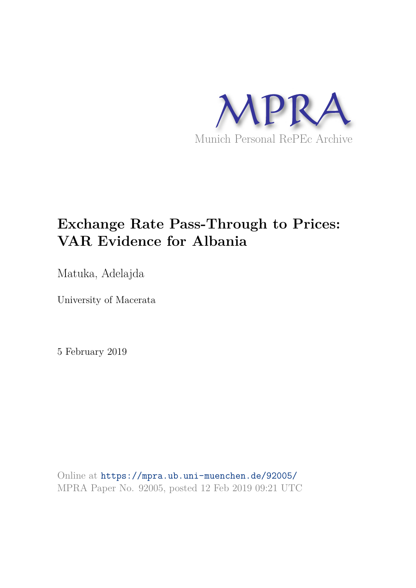

# **Exchange Rate Pass-Through to Prices: VAR Evidence for Albania**

Matuka, Adelajda

University of Macerata

5 February 2019

Online at https://mpra.ub.uni-muenchen.de/92005/ MPRA Paper No. 92005, posted 12 Feb 2019 09:21 UTC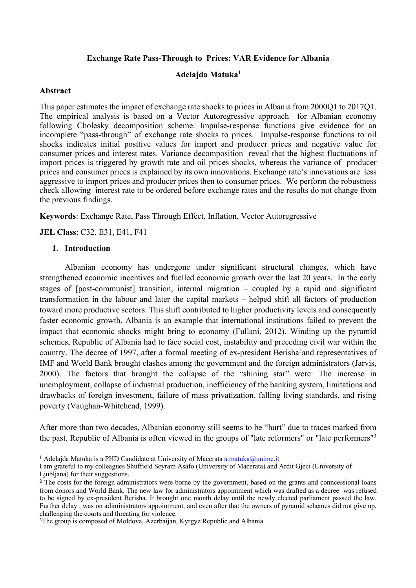#### **Exchange Rate Pass-Through to Prices: VAR Evidence for Albania**

#### **Adelajda Matuka<sup>1</sup>**

#### **Abstract**

This paper estimates the impact of exchange rate shocks to prices in Albania from 2000Q1 to 2017Q1. The empirical analysis is based on a Vector Autoregressive approach for Albanian economy following Cholesky decomposition scheme. Impulse-response functions give evidence for an incomplete "pass-through" of exchange rate shocks to prices. Impulse-response functions to oil shocks indicates initial positive values for import and producer prices and negative value for consumer prices and interest rates. Variance decomposition reveal that the highest fluctuations of import prices is triggered by growth rate and oil prices shocks, whereas the variance of producer prices and consumer prices is explained by its own innovations. Exchange rate's innovations are less aggressive to import prices and producer prices then to consumer prices. We perform the robustness check allowing interest rate to be ordered before exchange rates and the results do not change from the previous findings.

**Keywords**: Exchange Rate, Pass Through Effect, Inflation, Vector Autoregressive

**JEL Class**: C32, E31, E41, F41

#### **1. Introduction**

l

Albanian economy has undergone under significant structural changes, which have strengthened economic incentives and fuelled economic growth over the last 20 years. In the early stages of [post-communist] transition, internal migration – coupled by a rapid and significant transformation in the labour and later the capital markets – helped shift all factors of production toward more productive sectors. This shift contributed to higher productivity levels and consequently faster economic growth. Albania is an example that international institutions failed to prevent the impact that economic shocks might bring to economy (Fullani, 2012). Winding up the pyramid schemes, Republic of Albania had to face social cost, instability and preceding civil war within the country. The decree of 1997, after a formal meeting of ex-president Berisha<sup>2</sup> and representatives of IMF and World Bank brought clashes among the government and the foreign administrators (Jarvis, 2000). The factors that brought the collapse of the "shining star" were: The increase in unemployment, collapse of industrial production, inefficiency of the banking system, limitations and drawbacks of foreign investment, failure of mass privatization, falling living standards, and rising poverty (Vaughan-Whitehead, 1999).

After more than two decades, Albanian economy still seems to be "hurt" due to traces marked from the past. Republic of Albania is often viewed in the groups of "late reformers" or "late performers"<sup>3</sup>

<sup>&</sup>lt;sup>1</sup> Adelaida Matuka is a PHD Candidate at University of Macerata  $\frac{a \cdot \text{matuka}(a) \cdot \text{unimc.it}}{b \cdot \text{at}}$ 

I am grateful to my colleagues Shuffield Seyram Asafo (University of Macerata) and Ardit Gjeci (University of Ljubljana) for their suggestions.

<sup>&</sup>lt;sup>2</sup> The costs for the foreign administrators were borne by the government, based on the grants and conncessional loans from donors and World Bank. The new law for administrators appointment which was drafted as a decree was refused to be signed by ex-president Berisha. It brought one month delay until the newly elected parliament passed the law. Further delay , was on adiministrators appointment, and even after that the owners of pyramid schemes did not give up, challenging the courts and threating for violence.

<sup>&</sup>lt;sup>3</sup>The group is composed of Moldova, Azerbaijan, Kyrgyz Republic and Albania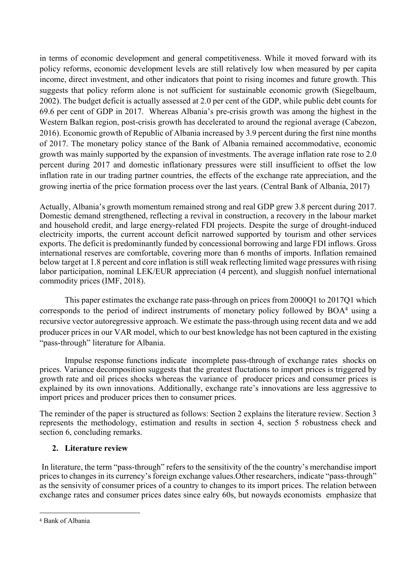in terms of economic development and general competitiveness. While it moved forward with its policy reforms, economic development levels are still relatively low when measured by per capita income, direct investment, and other indicators that point to rising incomes and future growth. This suggests that policy reform alone is not sufficient for sustainable economic growth (Siegelbaum, 2002). The budget deficit is actually assessed at 2.0 per cent of the GDP, while public debt counts for 69.6 per cent of GDP in 2017. Whereas Albania's pre-crisis growth was among the highest in the Western Balkan region, post-crisis growth has decelerated to around the regional average (Cabezon, 2016). Economic growth of Republic of Albania increased by 3.9 percent during the first nine months of 2017. The monetary policy stance of the Bank of Albania remained accommodative, economic growth was mainly supported by the expansion of investments. The average inflation rate rose to 2.0 percent during 2017 and domestic inflationary pressures were still insufficient to offset the low inflation rate in our trading partner countries, the effects of the exchange rate appreciation, and the growing inertia of the price formation process over the last years. (Central Bank of Albania, 2017)

Actually, Albania's growth momentum remained strong and real GDP grew 3.8 percent during 2017. Domestic demand strengthened, reflecting a revival in construction, a recovery in the labour market and household credit, and large energy-related FDI projects. Despite the surge of drought-induced electricity imports, the current account deficit narrowed supported by tourism and other services exports. The deficit is predominantly funded by concessional borrowing and large FDI inflows. Gross international reserves are comfortable, covering more than 6 months of imports. Inflation remained below target at 1.8 percent and core inflation is still weak reflecting limited wage pressures with rising labor participation, nominal LEK/EUR appreciation (4 percent), and sluggish nonfuel international commodity prices (IMF, 2018).

This paper estimates the exchange rate pass-through on prices from 2000Q1 to 2017Q1 which corresponds to the period of indirect instruments of monetary policy followed by BOA<sup>4</sup> using a recursive vector autoregressive approach. We estimate the pass-through using recent data and we add producer prices in our VAR model, which to our best knowledge has not been captured in the existing "pass-through" literature for Albania.

Impulse response functions indicate incomplete pass-through of exchange rates shocks on prices. Variance decomposition suggests that the greatest fluctations to import prices is triggered by growth rate and oil prices shocks whereas the variance of producer prices and consumer prices is explained by its own innovations. Additionally, exchange rate's innovations are less aggressive to import prices and producer prices then to consumer prices.

The reminder of the paper is structured as follows: Section 2 explains the literature review. Section 3 represents the methodology, estimation and results in section 4, section 5 robustness check and section 6, concluding remarks.

### **2. Literature review**

 In literature, the term "pass-through" refers to the sensitivity of the the country's merchandise import prices to changes in its currency's foreign exchange values.Other researchers, indicate "pass-through" as the sensivity of consumer prices of a country to changes to its import prices. The relation between exchange rates and consumer prices dates since ealry 60s, but nowayds economists emphasize that

<sup>4</sup> Bank of Albania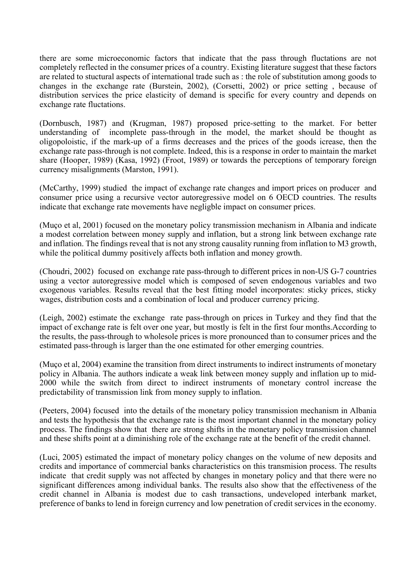there are some microeconomic factors that indicate that the pass through fluctations are not completely reflected in the consumer prices of a country. Existing literature suggest that these factors are related to stuctural aspects of international trade such as : the role of substitution among goods to changes in the exchange rate (Burstein, 2002), (Corsetti, 2002) or price setting , because of distribution services the price elasticity of demand is specific for every country and depends on exchange rate fluctations.

(Dornbusch, 1987) and (Krugman, 1987) proposed price-setting to the market. For better understanding of incomplete pass-through in the model, the market should be thought as oligopoloistic, if the mark-up of a firms decreases and the prices of the goods icrease, then the exchange rate pass-through is not complete. Indeed, this is a response in order to maintain the market share (Hooper, 1989) (Kasa, 1992) (Froot, 1989) or towards the perceptions of temporary foreign currency misalignments (Marston, 1991).

(McCarthy, 1999) studied the impact of exchange rate changes and import prices on producer and consumer price using a recursive vector autoregressive model on 6 OECD countries. The results indicate that exchange rate movements have negligble impact on consumer prices.

(Muço et al, 2001) focused on the monetary policy transmission mechanism in Albania and indicate a modest correlation between money supply and inflation, but a strong link between exchange rate and inflation. The findings reveal that is not any strong causality running from inflation to M3 growth, while the political dummy positively affects both inflation and money growth.

(Choudri, 2002) focused on exchange rate pass-through to different prices in non-US G-7 countries using a vector autoregressive model which is composed of seven endogenous variables and two exogenous variables. Results reveal that the best fitting model incorporates: sticky prices, sticky wages, distribution costs and a combination of local and producer currency pricing.

(Leigh, 2002) estimate the exchange rate pass-through on prices in Turkey and they find that the impact of exchange rate is felt over one year, but mostly is felt in the first four months.According to the results, the pass-through to wholesole prices is more pronounced than to consumer prices and the estimated pass-through is larger than the one estimated for other emerging countries.

(Muço et al, 2004) examine the transition from direct instruments to indirect instruments of monetary policy in Albania. The authors indicate a weak link between money supply and inflation up to mid-2000 while the switch from direct to indirect instruments of monetary control increase the predictability of transmission link from money supply to inflation.

(Peeters, 2004) focused into the details of the monetary policy transmission mechanism in Albania and tests the hypothesis that the exchange rate is the most important channel in the monetary policy process. The findings show that there are strong shifts in the monetary policy transmission channel and these shifts point at a diminishing role of the exchange rate at the benefit of the credit channel.

(Luci, 2005) estimated the impact of monetary policy changes on the volume of new deposits and credits and importance of commercial banks characteristics on this transmision process. The results indicate that credit supply was not affected by changes in monetary policy and that there were no significant differences among individual banks. The results also show that the effectiveness of the credit channel in Albania is modest due to cash transactions, undeveloped interbank market, preference of banks to lend in foreign currency and low penetration of credit services in the economy.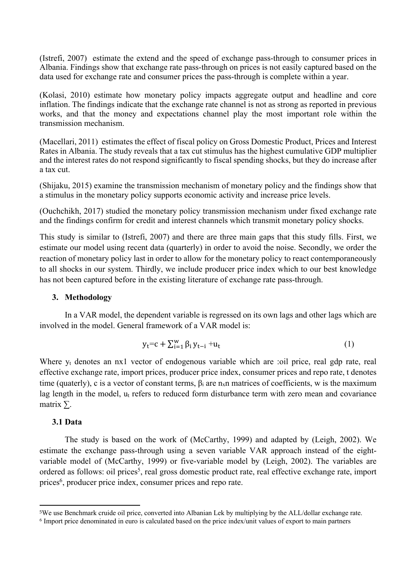(Istrefi, 2007)estimate the extend and the speed of exchange pass-through to consumer prices in Albania. Findings show that exchange rate pass-through on prices is not easily captured based on the data used for exchange rate and consumer prices the pass-through is complete within a year.

(Kolasi, 2010) estimate how monetary policy impacts aggregate output and headline and core inflation. The findings indicate that the exchange rate channel is not as strong as reported in previous works, and that the money and expectations channel play the most important role within the transmission mechanism.

(Macellari, 2011) estimates the effect of fiscal policy on Gross Domestic Product, Prices and Interest Rates in Albania. The study reveals that a tax cut stimulus has the highest cumulative GDP multiplier and the interest rates do not respond significantly to fiscal spending shocks, but they do increase after a tax cut.

(Shijaku, 2015) examine the transmission mechanism of monetary policy and the findings show that a stimulus in the monetary policy supports economic activity and increase price levels.

(Ouchchikh, 2017) studied the monetary policy transmission mechanism under fixed exchange rate and the findings confirm for credit and interest channels which transmit monetary policy shocks.

This study is similar to (Istrefi, 2007) and there are three main gaps that this study fills. First, we estimate our model using recent data (quarterly) in order to avoid the noise. Secondly, we order the reaction of monetary policy last in order to allow for the monetary policy to react contemporaneously to all shocks in our system. Thirdly, we include producer price index which to our best knowledge has not been captured before in the existing literature of exchange rate pass-through.

#### **3. Methodology**

In a VAR model, the dependent variable is regressed on its own lags and other lags which are involved in the model. General framework of a VAR model is:

$$
y_t = c + \sum_{i=1}^{w} \beta_i y_{t-i} + u_t
$$
 (1)

Where y<sub>t</sub> denotes an nx1 vector of endogenous variable which are :oil price, real gdp rate, real effective exchange rate, import prices, producer price index, consumer prices and repo rate, t denotes time (quaterly), c is a vector of constant terms,  $\beta_i$  are  $n_x$ n matrices of coefficients, w is the maximum lag length in the model, u<sub>t</sub> refers to reduced form disturbance term with zero mean and covariance matrix  $\Sigma$ .

#### **3.1 Data**

l

The study is based on the work of (McCarthy, 1999) and adapted by (Leigh, 2002). We estimate the exchange pass-through using a seven variable VAR approach instead of the eightvariable model of (McCarthy, 1999) or five-variable model by (Leigh, 2002). The variables are ordered as follows: oil prices<sup>5</sup>, real gross domestic product rate, real effective exchange rate, import prices<sup>6</sup>, producer price index, consumer prices and repo rate.

<sup>5</sup>We use Benchmark cruide oil price, converted into Albanian Lek by multiplying by the ALL/dollar exchange rate.

<sup>6</sup> Import price denominated in euro is calculated based on the price index/unit values of export to main partners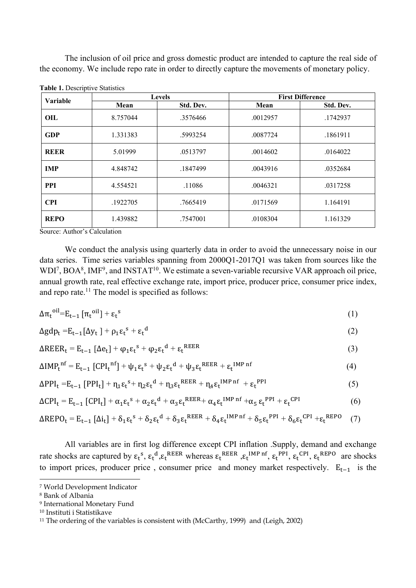The inclusion of oil price and gross domestic product are intended to capture the real side of the economy. We include repo rate in order to directly capture the movements of monetary policy.

| Variable    |          | <b>Levels</b> | <b>First Difference</b> |           |  |
|-------------|----------|---------------|-------------------------|-----------|--|
|             | Mean     | Std. Dev.     | Mean                    | Std. Dev. |  |
| OIL.        | 8.757044 | .3576466      | .0012957                | .1742937  |  |
| <b>GDP</b>  | 1.331383 | .5993254      | .0087724                | .1861911  |  |
| <b>REER</b> | 5.01999  | .0513797      | .0014602                | .0164022  |  |
| <b>IMP</b>  | 4.848742 | .1847499      | .0043916                | .0352684  |  |
| <b>PPI</b>  | 4.554521 | .11086        | .0046321                | .0317258  |  |
| <b>CPI</b>  | .1922705 | .7665419      | .0171569                | 1.164191  |  |
| <b>REPO</b> | 1.439882 | .7547001      | .0108304                | 1.161329  |  |

| Table 1. Descriptive Statistics |  |
|---------------------------------|--|
|---------------------------------|--|

Source: Author's Calculation

We conduct the analysis using quarterly data in order to avoid the unnecessary noise in our data series. Time series variables spanning from 2000Q1-2017Q1 was taken from sources like the  $WDI<sup>7</sup>, BOA<sup>8</sup>, IMF<sup>9</sup>, and INSTAT<sup>10</sup>. We estimate a seven-variable recursive VAR approach oil price,$ annual growth rate, real effective exchange rate, import price, producer price, consumer price index, and repo rate. $^{11}$  The model is specified as follows:

$$
\Delta \pi_t^{\text{oil}} = E_{t-1} \left[ \pi_t^{\text{oil}} \right] + \varepsilon_t^{\text{s}}
$$
 (1)

$$
\Delta g dp_t = E_{t-1} [\Delta y_t] + \rho_1 \epsilon_t^s + \epsilon_t^d
$$
 (2)

$$
\Delta \text{REER}_{t} = E_{t-1} \left[ \Delta e_{t} \right] + \varphi_{1} \varepsilon_{t}^{s} + \varphi_{2} \varepsilon_{t}^{d} + \varepsilon_{t}^{REER}
$$
\n(3)

$$
\Delta I M P_t^{nf} = E_{t-1} [CPI_t^{nf}] + \psi_1 \varepsilon_t^s + \psi_2 \varepsilon_t^d + \psi_3 \varepsilon_t^{REER} + \varepsilon_t^{IMP\ nf}
$$
\n
$$
\tag{4}
$$

$$
\Delta PPI_t = E_{t-1} [PPI_t] + \eta_1 \varepsilon_t^{s+} \eta_2 \varepsilon_t^{d} + \eta_3 \varepsilon_t^{REER} + \eta_4 \varepsilon_t^{IMP\,nf} + \varepsilon_t^{PPI}
$$
\n
$$
\tag{5}
$$

$$
\Delta CPI_t = E_{t-1} [CPI_t] + \alpha_1 \varepsilon_t^s + \alpha_2 \varepsilon_t^d + \alpha_3 \varepsilon_t^{REER} + \alpha_4 \varepsilon_t^{IMP\ n f} + \alpha_5 \varepsilon_t^{PPI} + \varepsilon_t^{CPI}
$$
 (6)

$$
\Delta \text{REPO}_t = E_{t-1} [\Delta i_t] + \delta_1 \epsilon_t^s + \delta_2 \epsilon_t^d + \delta_3 \epsilon_t^{\text{REER}} + \delta_4 \epsilon_t^{\text{IMP nf}} + \delta_5 \epsilon_t^{\text{PPI}} + \delta_6 \epsilon_t^{\text{CPI}} + \epsilon_t^{\text{REPO}} \tag{7}
$$

All variables are in first log difference except CPI inflation .Supply, demand and exchange rate shocks are captured by  $\epsilon_t^s$ ,  $\epsilon_t^d$ , $\epsilon_t^{REER}$  whereas  $\epsilon_t^{REER}$ ,  $\epsilon_t^{IMP\inf}$ ,  $\epsilon_t^{PPI}$ ,  $\epsilon_t^{CPI}$ ,  $\epsilon_t^{REPO}$  are shocks to import prices, producer price, consumer price and money market respectively.  $E_{t-1}$  is the

<sup>7</sup> World Development Indicator

<sup>8</sup> Bank of Albania

<sup>9</sup> International Monetary Fund

<sup>10</sup> Instituti i Statistikave

<sup>11</sup> The ordering of the variables is consistent with (McCarthy, 1999) and (Leigh, 2002)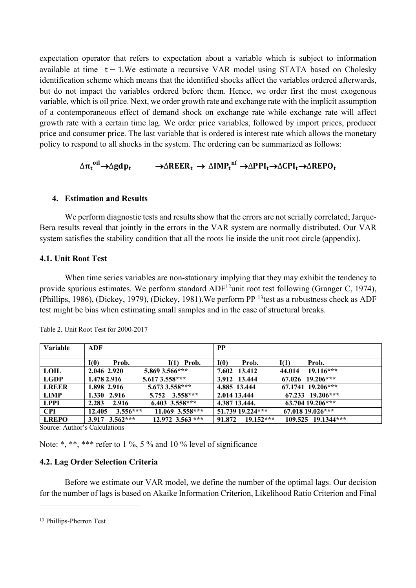expectation operator that refers to expectation about a variable which is subject to information available at time  $t - 1$ . We estimate a recursive VAR model using STATA based on Cholesky identification scheme which means that the identified shocks affect the variables ordered afterwards, but do not impact the variables ordered before them. Hence, we order first the most exogenous variable, which is oil price. Next, we order growth rate and exchange rate with the implicit assumption of a contemporaneous effect of demand shock on exchange rate while exchange rate will affect growth rate with a certain time lag. We order price variables, followed by import prices, producer price and consumer price. The last variable that is ordered is interest rate which allows the monetary policy to respond to all shocks in the system. The ordering can be summarized as follows:

# $\Delta\pi_t$ <sup>oil</sup>→∆gdp<sub>t</sub> →  $\Delta\text{RBER}_t \rightarrow \Delta\text{IMP}_t^{\text{ nf}}$ →∆PPI<sub>t</sub>→∆CPI<sub>t</sub>→∆REPO<sub>t</sub>

#### **4. Estimation and Results**

We perform diagnostic tests and results show that the errors are not serially correlated; Jarque-Bera results reveal that jointly in the errors in the VAR system are normally distributed. Our VAR system satisfies the stability condition that all the roots lie inside the unit root circle (appendix).

#### **4.1. Unit Root Test**

When time series variables are non-stationary implying that they may exhibit the tendency to provide spurious estimates. We perform standard ADF<sup>12</sup>unit root test following (Granger C, 1974), (Phillips, 1986), (Dickey, 1979), (Dickey, 1981).We perform PP <sup>13</sup>test as a robustness check as ADF test might be bias when estimating small samples and in the case of structural breaks.

| Variable     | ADF                                      | <b>PP</b>                              |
|--------------|------------------------------------------|----------------------------------------|
|              |                                          |                                        |
|              | $I(1)$ Prob.<br>I(0)<br>Prob.            | I(0)<br>I(1)<br>Prob.<br>Prob.         |
| <b>LOIL</b>  | 5.869 3.566***<br>2.046 2.920            | $19.116***$<br>7.602 13.412<br>44.014  |
| <b>LGDP</b>  | 5.617 3.558***<br>1.478 2.916            | 67.026 19.206***<br>3.912 13.444       |
| <b>LREER</b> | 5.673 3.558***<br>1.898 2.916            | 67.1741 19.206***<br>4.885 13.444      |
| LIMP         | 5.752 $3.558***$<br>1.330 2.916          | 67.233 19.206***<br>2.014 13.444       |
| <b>LPPI</b>  | $6.403$ 3.558***<br>2.916<br>2.283       | 63.704 19.206***<br>4.387 13.444.      |
| <b>CPI</b>   | 11.069 3.558***<br>$3.556***$<br>12.405  | 51.739 19.224***<br>67.018 19.026***   |
| <b>LREPO</b> | $3.917$ $3.562***$<br>$12.972$ 3.563 *** | 91.872 19.152***<br>109.525 19.1344*** |

Table 2. Unit Root Test for 2000-2017

Source: Author's Calculations

Note: \*, \*\*, \*\*\* refer to 1 %, 5 % and 10 % level of significance

#### **4.2. Lag Order Selection Criteria**

Before we estimate our VAR model, we define the number of the optimal lags. Our decision for the number of lags is based on Akaike Information Criterion, Likelihood Ratio Criterion and Final

<sup>13</sup> Phillips-Pherron Test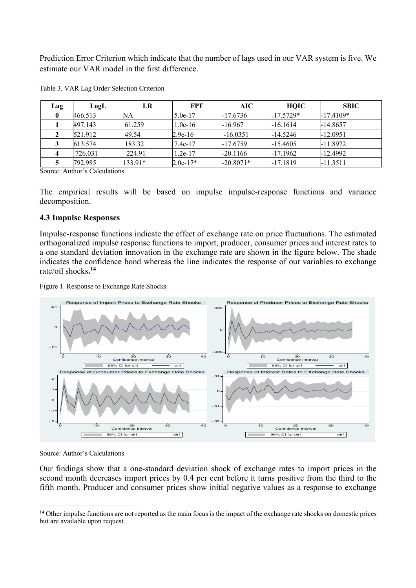Prediction Error Criterion which indicate that the number of lags used in our VAR system is five. We estimate our VAR model in the first difference.

| <b>Lag</b> | LogL    | LR        | FPE        | AIC.        | <b>HQIC</b> | <b>SBIC</b> |
|------------|---------|-----------|------------|-------------|-------------|-------------|
|            | 466.513 | NА        | $5.0e-17$  | -17.6736    | $-17.5729*$ | $-17.4109*$ |
|            | 497.143 | 61.259    | $1.0e-16$  | $-16.967$   | $-16.1614$  | $-14.8657$  |
|            | 521.912 | 49.54     | $2.9e-16$  | $-16.0351$  | $-14.5246$  | $-12.0951$  |
|            | 613.574 | 183.32    | $7.4e-17$  | $-17.6759$  | $-15.4605$  | $-11.8972$  |
|            | 726.031 | 224.91    | $1.2e-17$  | $-20.1166$  | $-17.1962$  | $-12.4992$  |
|            | 792.985 | $133.91*$ | $2.0e-17*$ | $-20.8071*$ | -17.1819    | $-11.3511$  |

Table 3. VAR Lag Order Selection Criterion

Source: Author's Calculations

The empirical results will be based on impulse impulse-response functions and variance decomposition.

#### **4.3 Impulse Responses**

Impulse-response functions indicate the effect of exchange rate on price fluctuations. The estimated orthogonalized impulse response functions to import, producer, consumer prices and interest rates to a one standard deviation innovation in the exchange rate are shown in the figure below. The shade indicates the confidence bond whereas the line indicates the response of our variables to exchange rate/oil shocks**. 14** 

Figure 1. Response to Exchange Rate Shocks



Source: Author's Calculations

 $\overline{a}$ 

Our findings show that a one-standard deviation shock of exchange rates to import prices in the second month decreases import prices by 0.4 per cent before it turns positive from the third to the fifth month. Producer and consumer prices show initial negative values as a response to exchange

<sup>&</sup>lt;sup>14</sup> Other impulse functions are not reported as the main focus is the impact of the exchange rate shocks on domestic prices but are available upon request.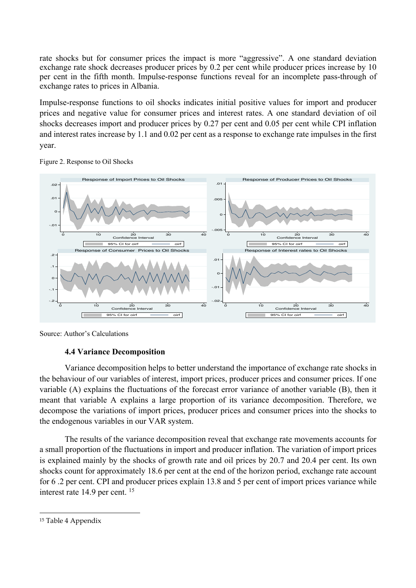rate shocks but for consumer prices the impact is more "aggressive". A one standard deviation exchange rate shock decreases producer prices by 0.2 per cent while producer prices increase by 10 per cent in the fifth month. Impulse-response functions reveal for an incomplete pass-through of exchange rates to prices in Albania.

Impulse-response functions to oil shocks indicates initial positive values for import and producer prices and negative value for consumer prices and interest rates. A one standard deviation of oil shocks decreases import and producer prices by 0.27 per cent and 0.05 per cent while CPI inflation and interest rates increase by 1.1 and 0.02 per cent as a response to exchange rate impulses in the first year.



Figure 2. Response to Oil Shocks

Source: Author's Calculations

#### **4.4 Variance Decomposition**

Variance decomposition helps to better understand the importance of exchange rate shocks in the behaviour of our variables of interest, import prices, producer prices and consumer prices. If one variable (A) explains the fluctuations of the forecast error variance of another variable (B), then it meant that variable A explains a large proportion of its variance decomposition. Therefore, we decompose the variations of import prices, producer prices and consumer prices into the shocks to the endogenous variables in our VAR system.

The results of the variance decomposition reveal that exchange rate movements accounts for a small proportion of the fluctuations in import and producer inflation. The variation of import prices is explained mainly by the shocks of growth rate and oil prices by 20.7 and 20.4 per cent. Its own shocks count for approximately 18.6 per cent at the end of the horizon period, exchange rate account for 6 .2 per cent. CPI and producer prices explain 13.8 and 5 per cent of import prices variance while interest rate 14.9 per cent. <sup>15</sup>

<sup>15</sup> Table 4 Appendix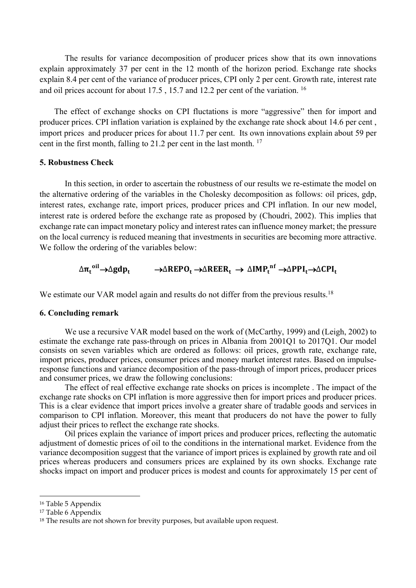The results for variance decomposition of producer prices show that its own innovations explain approximately 37 per cent in the 12 month of the horizon period. Exchange rate shocks explain 8.4 per cent of the variance of producer prices, CPI only 2 per cent. Growth rate, interest rate and oil prices account for about 17.5 , 15.7 and 12.2 per cent of the variation. <sup>16</sup>

 The effect of exchange shocks on CPI fluctations is more "aggressive" then for import and producer prices. CPI inflation variation is explained by the exchange rate shock about 14.6 per cent , import prices and producer prices for about 11.7 per cent. Its own innovations explain about 59 per cent in the first month, falling to 21.2 per cent in the last month.  $17$ 

#### **5. Robustness Check**

In this section, in order to ascertain the robustness of our results we re-estimate the model on the alternative ordering of the variables in the Cholesky decomposition as follows: oil prices, gdp, interest rates, exchange rate, import prices, producer prices and CPI inflation. In our new model, interest rate is ordered before the exchange rate as proposed by (Choudri, 2002). This implies that exchange rate can impact monetary policy and interest rates can influence money market; the pressure on the local currency is reduced meaning that investments in securities are becoming more attractive. We follow the ordering of the variables below:

# $\Delta\pi_t$ <sup>oil</sup> $\rightarrow$ ∆gdp $_t$   $\rightarrow$   $\Delta \text{REPO}_t$   $\rightarrow$   $\Delta \text{REER}_t$   $\rightarrow$   $\Delta \text{IMP}_t$ <sup>nf</sup>  $\rightarrow$   $\Delta \text{PPI}_t$   $\rightarrow$   $\Delta \text{CPI}_t$

We estimate our VAR model again and results do not differ from the previous results.<sup>18</sup>

#### **6. Concluding remark**

We use a recursive VAR model based on the work of (McCarthy, 1999) and (Leigh, 2002) to estimate the exchange rate pass-through on prices in Albania from 2001Q1 to 2017Q1. Our model consists on seven variables which are ordered as follows: oil prices, growth rate, exchange rate, import prices, producer prices, consumer prices and money market interest rates. Based on impulseresponse functions and variance decomposition of the pass-through of import prices, producer prices and consumer prices, we draw the following conclusions:

The effect of real effective exchange rate shocks on prices is incomplete . The impact of the exchange rate shocks on CPI inflation is more aggressive then for import prices and producer prices. This is a clear evidence that import prices involve a greater share of tradable goods and services in comparison to CPI inflation. Moreover, this meant that producers do not have the power to fully adjust their prices to reflect the exchange rate shocks.

Oil prices explain the variance of import prices and producer prices, reflecting the automatic adjustment of domestic prices of oil to the conditions in the international market. Evidence from the variance decomposition suggest that the variance of import prices is explained by growth rate and oil prices whereas producers and consumers prices are explained by its own shocks. Exchange rate shocks impact on import and producer prices is modest and counts for approximately 15 per cent of

<sup>16</sup> Table 5 Appendix

<sup>17</sup> Table 6 Appendix

<sup>18</sup> The results are not shown for brevity purposes, but available upon request.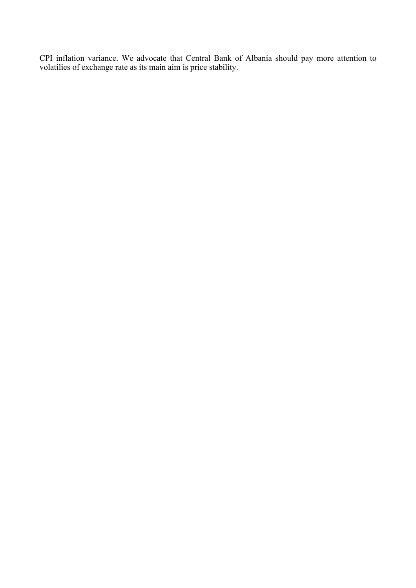CPI inflation variance. We advocate that Central Bank of Albania should pay more attention to volatilies of exchange rate as its main aim is price stability.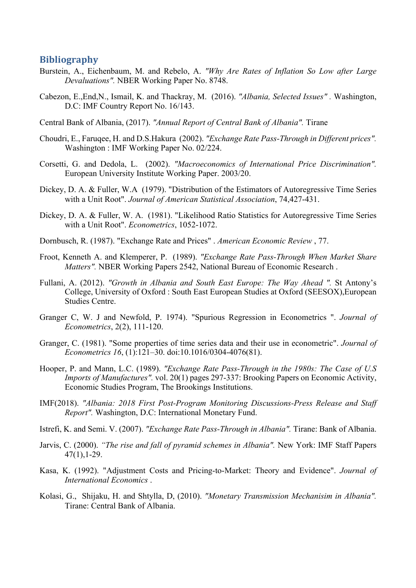#### **Bibliography**

- Burstein, A., Eichenbaum, M. and Rebelo, A. *"Why Are Rates of Inflation So Low after Large Devaluations".* NBER Working Paper No. 8748.
- Cabezon, E.,End,N., Ismail, K. and Thackray, M. (2016). *"Albania, Selected Issues" .* Washington, D.C: IMF Country Report No. 16/143.

Central Bank of Albania, (2017). *"Annual Report of Central Bank of Albania".* Tirane

- Choudri, E., Faruqee, H. and D.S.Hakura (2002). *"Exchange Rate Pass-Through in Different prices".* Washington : IMF Working Paper No. 02/224.
- Corsetti, G. and Dedola, L. (2002). *"Macroeconomics of International Price Discrimination".* European University Institute Working Paper. 2003/20.
- Dickey, D. A. & Fuller, W.A (1979). "Distribution of the Estimators of Autoregressive Time Series with a Unit Root". *Journal of American Statistical Association*, 74,427-431.
- Dickey, D. A. & Fuller, W. A. (1981). "Likelihood Ratio Statistics for Autoregressive Time Series with a Unit Root". *Econometrics*, 1052-1072.
- Dornbusch, R. (1987). "Exchange Rate and Prices" . *American Economic Review* , 77.
- Froot, Kenneth A. and Klemperer, P. (1989). *"Exchange Rate Pass-Through When Market Share Matters".* NBER Working Papers 2542, National Bureau of Economic Research .
- Fullani, A. (2012). *"Growth in Albania and South East Europe: The Way Ahead ".* St Antony's College, University of Oxford : South East European Studies at Oxford (SEESOX),European Studies Centre.
- Granger C, W. J and Newfold, P. 1974). "Spurious Regression in Econometrics ". *Journal of Econometrics*, 2(2), 111-120.
- Granger, C. (1981). "Some properties of time series data and their use in econometric". *Journal of Econometrics 16*, (1):121–30. doi:10.1016/0304-4076(81).
- Hooper, P. and Mann, L.C. (1989). *"Exchange Rate Pass-Through in the 1980s: The Case of U.S Imports of Manufactures".* vol. 20(1) pages 297-337: Brooking Papers on Economic Activity, Economic Studies Program, The Brookings Institutions.
- IMF(2018). *"Albania: 2018 First Post-Program Monitoring Discussions-Press Release and Staff Report".* Washington, D.C: International Monetary Fund.
- Istrefi, K. and Semi. V. (2007). *"Exchange Rate Pass-Through in Albania".* Tirane: Bank of Albania.
- Jarvis, C. (2000). *"The rise and fall of pyramid schemes in Albania".* New York: IMF Staff Papers 47(1),1-29.
- Kasa, K. (1992). "Adjustment Costs and Pricing-to-Market: Theory and Evidence". *Journal of International Economics* .
- Kolasi, G., Shijaku, H. and Shtylla, D, (2010). *"Monetary Transmission Mechanisim in Albania".* Tirane: Central Bank of Albania.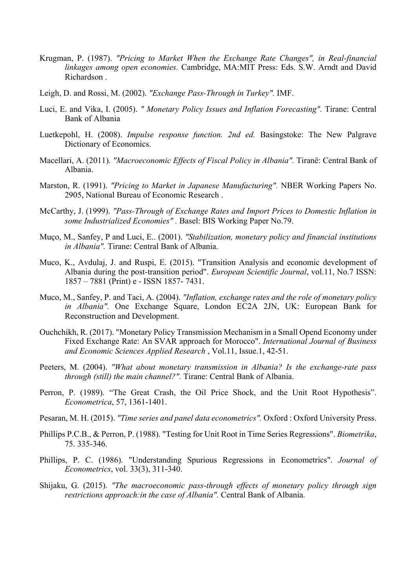- Krugman, P. (1987). *"Pricing to Market When the Exchange Rate Changes", in Real-financial linkages among open economies.* Cambridge, MA:MIT Press: Eds. S.W. Arndt and David Richardson .
- Leigh, D. and Rossi, M. (2002). *"Exchange Pass-Through in Turkey".* IMF.
- Luci, E. and Vika, I. (2005). *" Monetary Policy Issues and Inflation Forecasting".* Tirane: Central Bank of Albania
- Luetkepohl, H. (2008). *Impulse response function. 2nd ed.* Basingstoke: The New Palgrave Dictionary of Economics.
- Macellari, A. (2011). *"Macroeconomic Effects of Fiscal Policy in Albania".* Tiranë: Central Bank of Albania.
- Marston, R. (1991). *"Pricing to Market in Japanese Manufacturing".* NBER Working Papers No. 2905, National Bureau of Economic Research .
- McCarthy, J. (1999). *"Pass-Through of Exchange Rates and Import Prices to Domestic Inflation in some Industrialized Economies" .* Basel: BIS Working Paper No.79.
- Muço, M., Sanfey, P and Luci, E.. (2001). *"Stabilization, monetary policy and financial institutions in Albania".* Tirane: Central Bank of Albania.
- Muco, K., Avdulaj, J. and Ruspi, E. (2015). "Transition Analysis and economic development of Albania during the post-transition period". *European Scientific Journal*, vol.11, No.7 ISSN: 1857 – 7881 (Print) e - ISSN 1857- 7431.
- Muco, M., Sanfey, P. and Taci, A. (2004). *"Inflation, exchange rates and the role of monetary policy in Albania".* One Exchange Square, London EC2A 2JN, UK: European Bank for Reconstruction and Development.
- Ouchchikh, R. (2017). "Monetary Policy Transmission Mechanism in a Small Opend Economy under Fixed Exchange Rate: An SVAR approach for Morocco". *International Journal of Business and Economic Sciences Applied Research* , Vol.11, Issue.1, 42-51.
- Peeters, M. (2004). *"What about monetary transmission in Albania? Is the exchange-rate pass through (still) the main channel?".* Tirane: Central Bank of Albania.
- Perron, P. (1989). "The Great Crash, the Oil Price Shock, and the Unit Root Hypothesis". *Econometrica*, 57, 1361-1401.
- Pesaran, M. H. (2015). *"Time series and panel data econometrics".* Oxford : Oxford University Press.
- Phillips P.C.B., & Perron, P. (1988). "Testing for Unit Root in Time Series Regressions". *Biometrika*, 75. 335-346.
- Phillips, P. C. (1986). "Understanding Spurious Regressions in Econometrics". *Journal of Econometrics*, vol. 33(3), 311-340.
- Shijaku, G. (2015). *"The macroeconomic pass-through effects of monetary policy through sign restrictions approach:in the case of Albania".* Central Bank of Albania.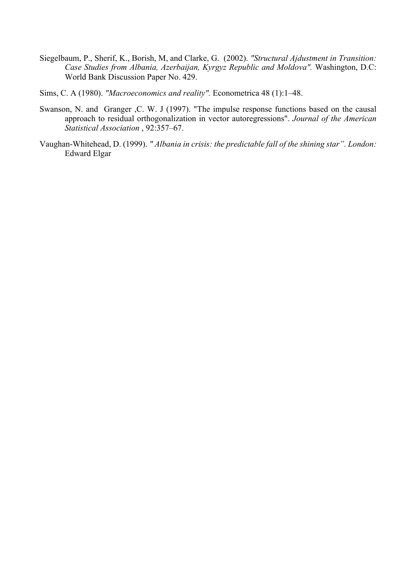- Siegelbaum, P., Sherif, K., Borish, M, and Clarke, G. (2002). *"Structural Ajdustment in Transition: Case Studies from Albania, Azerbaijan, Kyrgyz Republic and Moldova".* Washington, D.C: World Bank Discussion Paper No. 429.
- Sims, C. A (1980). *"Macroeconomics and reality".* Econometrica 48 (1):1–48.
- Swanson, N. and Granger ,C. W. J (1997). "The impulse response functions based on the causal approach to residual orthogonalization in vector autoregressions". *Journal of the American Statistical Association* , 92:357–67.
- Vaughan-Whitehead, D. (1999). *" Albania in crisis: the predictable fall of the shining star". London:*  Edward Elgar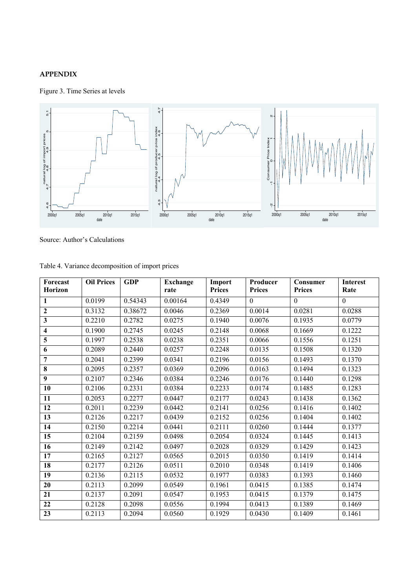#### **APPENDIX**

Figure 3. Time Series at levels



Source: Author's Calculations

| 5<br>Ю<br>natural log of import prices<br>$4.7$ $4.8$ $4.9$<br>4.6<br>2000q1 | 2005q1<br>2010q1<br>date                         | 2015q1     | 4<br>natural log of producer price index<br>4.4<br>4.5<br>4.6<br>4.3<br>2005q1<br>2000q1 | 2010q1<br>date          | $\mathsf{N}\xspace$<br>Consumer Price Index<br>0<br>1<br>Ņ<br>2000q1<br>2015q1 | 2005q1<br>2010q1<br>date  | 2015q1                  |
|------------------------------------------------------------------------------|--------------------------------------------------|------------|------------------------------------------------------------------------------------------|-------------------------|--------------------------------------------------------------------------------|---------------------------|-------------------------|
|                                                                              | Source: Author's Calculations                    |            |                                                                                          |                         |                                                                                |                           |                         |
|                                                                              | Table 4. Variance decomposition of import prices |            |                                                                                          |                         |                                                                                |                           |                         |
| Forecast<br><b>Horizon</b>                                                   | <b>Oil Prices</b>                                | <b>GDP</b> | <b>Exchange</b><br>rate                                                                  | Import<br><b>Prices</b> | Producer<br><b>Prices</b>                                                      | Consumer<br><b>Prices</b> | <b>Interest</b><br>Rate |
| 1                                                                            | 0.0199                                           | 0.54343    | 0.00164                                                                                  | 0.4349                  | $\theta$                                                                       | $\theta$                  | $\mathbf{0}$            |
| $\boldsymbol{2}$                                                             | 0.3132                                           | 0.38672    | 0.0046                                                                                   | 0.2369                  | 0.0014                                                                         | 0.0281                    | 0.0288                  |
| $\mathbf{3}$                                                                 | 0.2210                                           | 0.2782     | 0.0275                                                                                   | 0.1940                  | 0.0076                                                                         | 0.1935                    | 0.0779                  |
| $\overline{\mathbf{4}}$                                                      | 0.1900                                           | 0.2745     | 0.0245                                                                                   | 0.2148                  | 0.0068                                                                         | 0.1669                    | 0.1222                  |
| $\overline{\mathbf{5}}$                                                      | 0.1997                                           | 0.2538     | 0.0238                                                                                   | 0.2351                  | 0.0066                                                                         | 0.1556                    | 0.1251                  |
| 6                                                                            | 0.2089                                           | 0.2440     | 0.0257                                                                                   | 0.2248                  | 0.0135                                                                         | 0.1508                    | 0.1320                  |
| 7                                                                            | 0.2041                                           | 0.2399     | 0.0341                                                                                   | 0.2196                  | 0.0156                                                                         | 0.1493                    | 0.1370                  |
| 8                                                                            | 0.2095                                           | 0.2357     | 0.0369                                                                                   | 0.2096                  | 0.0163                                                                         | 0.1494                    | 0.1323                  |
| $\overline{9}$                                                               | 0.2107                                           | 0.2346     | 0.0384                                                                                   | 0.2246                  | 0.0176                                                                         | 0.1440                    | 0.1298                  |
| 10                                                                           | 0.2106                                           | 0.2331     | 0.0384                                                                                   | 0.2233                  | 0.0174                                                                         | 0.1485                    | 0.1283                  |
| 11                                                                           | 0.2053                                           | 0.2277     | 0.0447                                                                                   | 0.2177                  | 0.0243                                                                         | 0.1438                    | 0.1362                  |
| 12                                                                           | 0.2011                                           | 0.2239     | 0.0442                                                                                   | 0.2141                  | 0.0256                                                                         | 0.1416                    | 0.1402                  |
| 13                                                                           | 0.2126                                           | 0.2217     | 0.0439                                                                                   | 0.2152                  | 0.0256                                                                         | 0.1404                    | 0.1402                  |
| 14                                                                           | 0.2150                                           | 0.2214     | 0.0441                                                                                   | 0.2111                  | 0.0260                                                                         | 0.1444                    | 0.1377                  |
| 15                                                                           | 0.2104                                           | 0.2159     | 0.0498                                                                                   | 0.2054                  | 0.0324                                                                         | 0.1445                    | 0.1413                  |
| 16                                                                           | 0.2149                                           | 0.2142     | 0.0497                                                                                   | 0.2028                  | 0.0329                                                                         | 0.1429                    | 0.1423                  |
| 17                                                                           | 0.2165                                           | 0.2127     | 0.0565                                                                                   | 0.2015                  | 0.0350                                                                         | 0.1419                    | 0.1414                  |
| 18                                                                           | 0.2177                                           | 0.2126     | 0.0511                                                                                   | 0.2010                  | 0.0348                                                                         | 0.1419                    | 0.1406                  |
| 19                                                                           | 0.2136                                           | 0.2115     | 0.0532                                                                                   | 0.1977                  | 0.0383                                                                         | 0.1393                    | 0.1460                  |
| 20                                                                           | 0.2113                                           | 0.2099     | 0.0549                                                                                   | 0.1961                  | 0.0415                                                                         | 0.1385                    | 0.1474                  |
| 21                                                                           | 0.2137                                           | 0.2091     | 0.0547                                                                                   | 0.1953                  | 0.0415                                                                         | 0.1379                    | 0.1475                  |
| 22                                                                           | 0.2128                                           | 0.2098     | 0.0556                                                                                   | 0.1994                  | 0.0413                                                                         | 0.1389                    | 0.1469                  |
| 23                                                                           | 0.2113                                           | 0.2094     | 0.0560                                                                                   | 0.1929                  | 0.0430                                                                         | 0.1409                    | 0.1461                  |

Table 4. Variance decomposition of import prices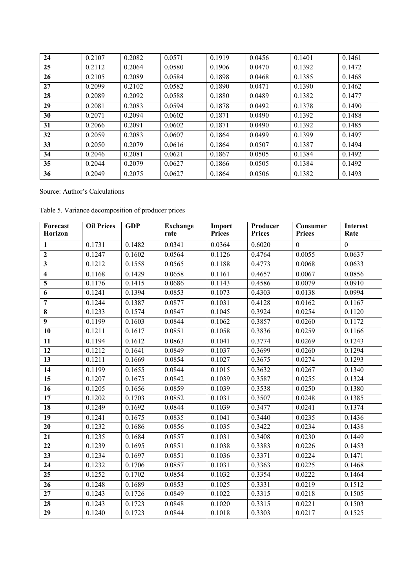| 24 | 0.2107 | 0.2082 | 0.0571 | 0.1919 | 0.0456 | 0.1401 | 0.1461 |
|----|--------|--------|--------|--------|--------|--------|--------|
| 25 | 0.2112 | 0.2064 | 0.0580 | 0.1906 | 0.0470 | 0.1392 | 0.1472 |
| 26 | 0.2105 | 0.2089 | 0.0584 | 0.1898 | 0.0468 | 0.1385 | 0.1468 |
| 27 | 0.2099 | 0.2102 | 0.0582 | 0.1890 | 0.0471 | 0.1390 | 0.1462 |
| 28 | 0.2089 | 0.2092 | 0.0588 | 0.1880 | 0.0489 | 0.1382 | 0.1477 |
| 29 | 0.2081 | 0.2083 | 0.0594 | 0.1878 | 0.0492 | 0.1378 | 0.1490 |
| 30 | 0.2071 | 0.2094 | 0.0602 | 0.1871 | 0.0490 | 0.1392 | 0.1488 |
| 31 | 0.2066 | 0.2091 | 0.0602 | 0.1871 | 0.0490 | 0.1392 | 0.1485 |
| 32 | 0.2059 | 0.2083 | 0.0607 | 0.1864 | 0.0499 | 0.1399 | 0.1497 |
| 33 | 0.2050 | 0.2079 | 0.0616 | 0.1864 | 0.0507 | 0.1387 | 0.1494 |
| 34 | 0.2046 | 0.2081 | 0.0621 | 0.1867 | 0.0505 | 0.1384 | 0.1492 |
| 35 | 0.2044 | 0.2079 | 0.0627 | 0.1866 | 0.0505 | 0.1384 | 0.1492 |
| 36 | 0.2049 | 0.2075 | 0.0627 | 0.1864 | 0.0506 | 0.1382 | 0.1493 |

Source: Author's Calculations

Table 5. Variance decomposition of producer prices

| Forecast                | <b>Oil Prices</b> | <b>GDP</b> | <b>Exchange</b> | Import        | Producer      | Consumer       | <b>Interest</b> |
|-------------------------|-------------------|------------|-----------------|---------------|---------------|----------------|-----------------|
| <b>Horizon</b>          |                   |            | rate            | <b>Prices</b> | <b>Prices</b> | <b>Prices</b>  | Rate            |
| $\mathbf{1}$            | 0.1731            | 0.1482     | 0.0341          | 0.0364        | 0.6020        | $\overline{0}$ | $\overline{0}$  |
| $\mathbf{2}$            | 0.1247            | 0.1602     | 0.0564          | 0.1126        | 0.4764        | 0.0055         | 0.0637          |
| $\overline{\mathbf{3}}$ | 0.1212            | 0.1558     | 0.0565          | 0.1188        | 0.4773        | 0.0068         | 0.0633          |
| $\overline{\mathbf{4}}$ | 0.1168            | 0.1429     | 0.0658          | 0.1161        | 0.4657        | 0.0067         | 0.0856          |
| 5                       | 0.1176            | 0.1415     | 0.0686          | 0.1143        | 0.4586        | 0.0079         | 0.0910          |
| 6                       | 0.1241            | 0.1394     | 0.0853          | 0.1073        | 0.4303        | 0.0138         | 0.0994          |
| $\overline{7}$          | 0.1244            | 0.1387     | 0.0877          | 0.1031        | 0.4128        | 0.0162         | 0.1167          |
| $\overline{\bf 8}$      | 0.1233            | 0.1574     | 0.0847          | 0.1045        | 0.3924        | 0.0254         | 0.1120          |
| $\overline{9}$          | 0.1199            | 0.1603     | 0.0844          | 0.1062        | 0.3857        | 0.0260         | 0.1172          |
| $\overline{10}$         | 0.1211            | 0.1617     | 0.0851          | 0.1058        | 0.3836        | 0.0259         | 0.1166          |
| 11                      | 0.1194            | 0.1612     | 0.0863          | 0.1041        | 0.3774        | 0.0269         | 0.1243          |
| 12                      | 0.1212            | 0.1641     | 0.0849          | 0.1037        | 0.3699        | 0.0260         | 0.1294          |
| $\overline{13}$         | 0.1211            | 0.1669     | 0.0854          | 0.1027        | 0.3675        | 0.0274         | 0.1293          |
| 14                      | 0.1199            | 0.1655     | 0.0844          | 0.1015        | 0.3632        | 0.0267         | 0.1340          |
| $\overline{15}$         | 0.1207            | 0.1675     | 0.0842          | 0.1039        | 0.3587        | 0.0255         | 0.1324          |
| $\overline{16}$         | 0.1205            | 0.1656     | 0.0859          | 0.1039        | 0.3538        | 0.0250         | 0.1380          |
| $\overline{17}$         | 0.1202            | 0.1703     | 0.0852          | 0.1031        | 0.3507        | 0.0248         | 0.1385          |
| 18                      | 0.1249            | 0.1692     | 0.0844          | 0.1039        | 0.3477        | 0.0241         | 0.1374          |
| 19                      | 0.1241            | 0.1675     | 0.0835          | 0.1041        | 0.3440        | 0.0235         | 0.1436          |
| $\overline{20}$         | 0.1232            | 0.1686     | 0.0856          | 0.1035        | 0.3422        | 0.0234         | 0.1438          |
| 21                      | 0.1235            | 0.1684     | 0.0857          | 0.1031        | 0.3408        | 0.0230         | 0.1449          |
| 22                      | 0.1239            | 0.1695     | 0.0851          | 0.1038        | 0.3383        | 0.0226         | 0.1453          |
| $\overline{23}$         | 0.1234            | 0.1697     | 0.0851          | 0.1036        | 0.3371        | 0.0224         | 0.1471          |
| 24                      | 0.1232            | 0.1706     | 0.0857          | 0.1031        | 0.3363        | 0.0225         | 0.1468          |
| $\overline{25}$         | 0.1252            | 0.1702     | 0.0854          | 0.1032        | 0.3354        | 0.0222         | 0.1464          |
| 26                      | 0.1248            | 0.1689     | 0.0853          | 0.1025        | 0.3331        | 0.0219         | 0.1512          |
| $\overline{27}$         | 0.1243            | 0.1726     | 0.0849          | 0.1022        | 0.3315        | 0.0218         | 0.1505          |
| $\overline{28}$         | 0.1243            | 0.1723     | 0.0848          | 0.1020        | 0.3315        | 0.0221         | 0.1503          |
| 29                      | 0.1240            | 0.1723     | 0.0844          | 0.1018        | 0.3303        | 0.0217         | 0.1525          |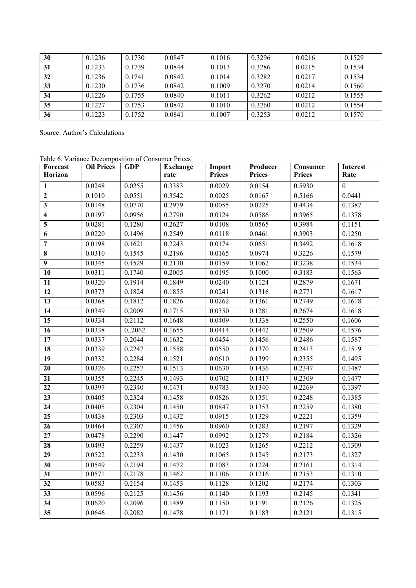| 30 | 0.1236 | 0.1730 | 0.0847 | 0.1016 | 0.3296 | 0.0216 | 0.1529 |
|----|--------|--------|--------|--------|--------|--------|--------|
| 31 | 0.1233 | 0.1739 | 0.0844 | 0.1013 | 0.3286 | 0.0215 | 0.1534 |
| 32 | 0.1236 | 0.1741 | 0.0842 | 0.1014 | 0.3282 | 0.0217 | 0.1534 |
| 33 | 0.1230 | 0.1736 | 0.0842 | 0.1009 | 0.3270 | 0.0214 | 0.1560 |
| 34 | 0.1226 | 0.1755 | 0.0840 | 0.1011 | 0.3262 | 0.0212 | 0.1555 |
| 35 | 0.1227 | 0.1753 | 0.0842 | 0.1010 | 0.3260 | 0.0212 | 0.1554 |
| 36 | 0.1223 | 0.1752 | 0.0841 | 0.1007 | 0.3253 | 0.0212 | 0.1570 |

Source: Author's Calculations

Table 6. Variance Decomposition of Consumer Prices

| Forecast<br><b>Horizon</b> | <b>Oil Prices</b> | <b>GDP</b> | <b>Exchange</b><br>rate | Import<br><b>Prices</b> | Producer<br><b>Prices</b> | Consumer<br><b>Prices</b> | Interest<br>Rate |
|----------------------------|-------------------|------------|-------------------------|-------------------------|---------------------------|---------------------------|------------------|
| 1                          | 0.0248            | 0.0255     | 0.3383                  | 0.0029                  | 0.0154                    | 0.5930                    | $\overline{0}$   |
| $\overline{2}$             | 0.1010            | 0.0551     | 0.3542                  | 0.0025                  | 0.0167                    | 0.5166                    | 0.0441           |
| $\overline{\mathbf{3}}$    | 0.0148            | 0.0770     | 0.2979                  | 0.0055                  | 0.0225                    | 0.4434                    | 0.1387           |
| $\overline{\mathbf{4}}$    | 0.0197            | 0.0956     | 0.2790                  | 0.0124                  | 0.0586                    | 0.3965                    | 0.1378           |
| $\overline{\mathbf{5}}$    | 0.0281            | 0.1280     | 0.2627                  | 0.0108                  | 0.0565                    | 0.3984                    | 0.1151           |
| $\overline{6}$             | 0.0220            | 0.1496     | 0.2549                  | 0.0118                  | 0.0461                    | 0.3903                    | 0.1250           |
| $\overline{7}$             |                   | 0.1621     |                         |                         |                           |                           | 0.1618           |
| 8                          | 0.0198            |            | 0.2243                  | 0.0174                  | 0.0651                    | 0.3492                    |                  |
|                            | 0.0310            | 0.1545     | 0.2196                  | 0.0165                  | 0.0974                    | 0.3226                    | 0.1579           |
| $\overline{9}$             | 0.0345            | 0.1529     | 0.2130                  | 0.0159                  | 0.1062                    | 0.3238                    | 0.1534           |
| 10                         | 0.0311            | 0.1740     | 0.2005                  | 0.0195                  | 0.1000                    | 0.3183                    | 0.1563           |
| 11                         | 0.0320            | 0.1914     | 0.1849                  | 0.0240                  | 0.1124                    | 0.2879                    | 0.1671           |
| $\overline{12}$            | 0.0373            | 0.1824     | 0.1855                  | 0.0241                  | 0.1316                    | 0.2771                    | 0.1617           |
| $\overline{13}$            | 0.0368            | 0.1812     | 0.1826                  | 0.0262                  | 0.1361                    | 0.2749                    | 0.1618           |
| $\overline{14}$            | 0.0349            | 0.2009     | 0.1715                  | 0.0350                  | 0.1281                    | 0.2674                    | 0.1618           |
| 15                         | 0.0334            | 0.2112     | 0.1648                  | 0.0409                  | 0.1338                    | 0.2550                    | 0.1606           |
| 16                         | 0.0338            | 0.2062     | 0.1655                  | 0.0414                  | 0.1442                    | 0.2509                    | 0.1576           |
| $\overline{17}$            | 0.0337            | 0.2044     | 0.1632                  | 0.0454                  | 0.1456                    | 0.2486                    | 0.1587           |
| $\overline{18}$            | 0.0339            | 0.2247     | 0.1558                  | 0.0550                  | 0.1370                    | 0.2413                    | 0.1519           |
| $\overline{19}$            | 0.0332            | 0.2284     | 0.1521                  | 0.0610                  | 0.1399                    | 0.2355                    | 0.1495           |
| $\overline{20}$            | 0.0326            | 0.2257     | 0.1513                  | 0.0630                  | 0.1436                    | 0.2347                    | 0.1487           |
| $\overline{21}$            | 0.0355            | 0.2245     | 0.1493                  | 0.0702                  | 0.1417                    | 0.2309                    | 0.1477           |
| 22                         | 0.0397            | 0.2340     | 0.1471                  | 0.0783                  | 0.1340                    | 0.2269                    | 0.1397           |
| $\overline{23}$            | 0.0405            | 0.2324     | 0.1458                  | 0.0826                  | 0.1351                    | 0.2248                    | 0.1385           |
| $\overline{24}$            | 0.0405            | 0.2304     | 0.1450                  | 0.0847                  | 0.1353                    | 0.2259                    | 0.1380           |
| $\overline{25}$            | 0.0438            | 0.2303     | 0.1432                  | 0.0915                  | 0.1329                    | 0.2221                    | 0.1359           |
| $\overline{26}$            | 0.0464            | 0.2307     | 0.1456                  | 0.0960                  | 0.1283                    | 0.2197                    | 0.1329           |
| $\overline{27}$            | 0.0478            | 0.2290     | 0.1447                  | 0.0992                  | 0.1279                    | 0.2184                    | 0.1326           |
| $\overline{28}$            | 0.0493            | 0.2259     | 0.1437                  | 0.1023                  | 0.1265                    | 0.2212                    | 0.1309           |
| 29                         | 0.0522            | 0.2233     | 0.1430                  | 0.1065                  | 0.1245                    | 0.2173                    | 0.1327           |
| $\overline{30}$            | 0.0549            | 0.2194     | 0.1472                  | 0.1083                  | 0.1224                    | 0.2161                    | 0.1314           |
| $\overline{31}$            | 0.0571            | 0.2178     | 0.1462                  | 0.1106                  | 0.1216                    | 0.2153                    | 0.1310           |
| 32                         | 0.0583            | 0.2154     | 0.1453                  | 0.1128                  | 0.1202                    | 0.2174                    | 0.1303           |
| $\overline{33}$            | 0.0596            | 0.2125     | 0.1456                  | 0.1140                  | 0.1193                    | 0.2145                    | 0.1341           |
| 34                         | 0.0620            | 0.2096     | 0.1489                  | 0.1150                  | 0.1191                    | 0.2126                    | 0.1325           |
| $\overline{35}$            | 0.0646            | 0.2082     | 0.1478                  | 0.1171                  | 0.1183                    | 0.2121                    | 0.1315           |